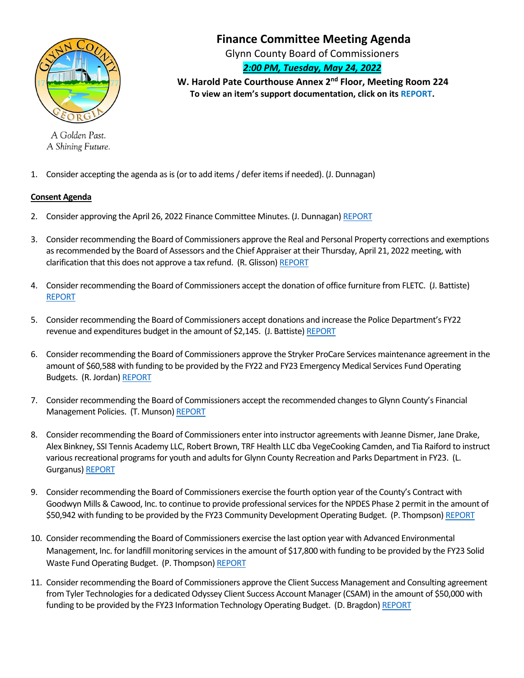

A Golden Past. A Shining Future.

# **Finance Committee Meeting Agenda**

Glynn County Board of Commissioners

## *2:00 PM, Tuesday, May 24, 2022*

 **W. Harold Pate Courthouse Annex 2nd Floor, Meeting Room 224 To view an item's support documentation, click on its REPORT.**

1. Consider accepting the agenda as is (or to add items/ defer itemsif needed). (J. Dunnagan)

### **Consent Agenda**

- 2. Consider approving the April 26, 2022 Finance Committee Minutes. (J. Dunnagan[\) REPORT](https://www.glynncounty.org/Archive.aspx?ADID=1776)
- 3. Consider recommending the Board of Commissioners approve the Real and Personal Property corrections and exemptions as recommended by the Board of Assessors and the Chief Appraiser at their Thursday, April 21, 2022 meeting, with clarification that this does not approve a tax refund. (R. Glisson[\) REPORT](https://www.glynncounty.org/DocumentCenter/View/75887/MEMO---PAO----BOA-ITEMS-FOR-FINANCE-FROM-04-21-2022-MEETING)
- 4. Consider recommending the Board of Commissioners accept the donation of office furniture from FLETC. (J. Battiste) [REPORT](https://www.glynncounty.org/DocumentCenter/View/75880/MEMO---FLETC-Donations)
- 5. Consider recommending the Board of Commissioners accept donations and increase the Police Department's FY22 revenue and expenditures budget in the amount of \$2,145. (J. Battiste[\) REPORT](https://www.glynncounty.org/DocumentCenter/View/75885/MEMO---K9-Donations)
- 6. Consider recommending the Board of Commissioners approve the Stryker ProCare Services maintenance agreement in the amount of \$60,588 with funding to be provided by the FY22 and FY23 Emergency Medical Services Fund Operating Budgets. (R. Jordan) [REPORT](https://www.glynncounty.org/DocumentCenter/View/75890/MEMO---Stryker-2022-Areement-write-up-for-Finance)
- 7. Consider recommending the Board of Commissioners accept the recommended changes to Glynn County's Financial Management Policies. (T. Munson) [REPORT](https://www.glynncounty.org/DocumentCenter/View/75891/MEMO---Travel-Policy-Change)
- 8. Consider recommending the Board of Commissioners enter into instructor agreements with Jeanne Dismer, Jane Drake, Alex Binkney, SSI Tennis Academy LLC, Robert Brown, TRF Health LLC dba VegeCooking Camden, and Tia Raiford to instruct various recreational programs for youth and adults for Glynn County Recreation and Parks Department in FY23. (L. Gurganus[\) REPORT](https://www.glynncounty.org/DocumentCenter/View/75884/MEMO---Instructor-Agreements-FY23)
- 9. Consider recommending the Board of Commissioners exercise the fourth option year of the County's Contract with Goodwyn Mills & Cawood, Inc. to continue to provide professional services for the NPDES Phase 2 permit in the amount of \$50,942 with funding to be provided by the FY23 Community Development Operating Budget. (P. Thompson[\) REPORT](https://www.glynncounty.org/DocumentCenter/View/75881/MEMO---GMC-NPDES-2022-option-year-24may2022)
- 10. Consider recommending the Board of Commissioners exercise the last option year with Advanced Environmental Management, Inc. for landfill monitoring services in the amount of \$17,800 with funding to be provided by the FY23 Solid Waste Fund Operating Budget. (P. Thompson[\) REPORT](https://www.glynncounty.org/DocumentCenter/View/75886/MEMO---Landfill-Monitoring-Option-Year4-approval-24may2022)
- 11. Consider recommending the Board of Commissioners approve the Client Success Management and Consulting agreement from Tyler Technologies for a dedicated Odyssey Client Success Account Manager (CSAM) in the amount of \$50,000 with funding to be provided by the FY23 Information Technology Operating Budget. (D. Bragdon[\) REPORT](https://www.glynncounty.org/DocumentCenter/View/75892/MEMO---Tyler-CSAM-Odyssey)